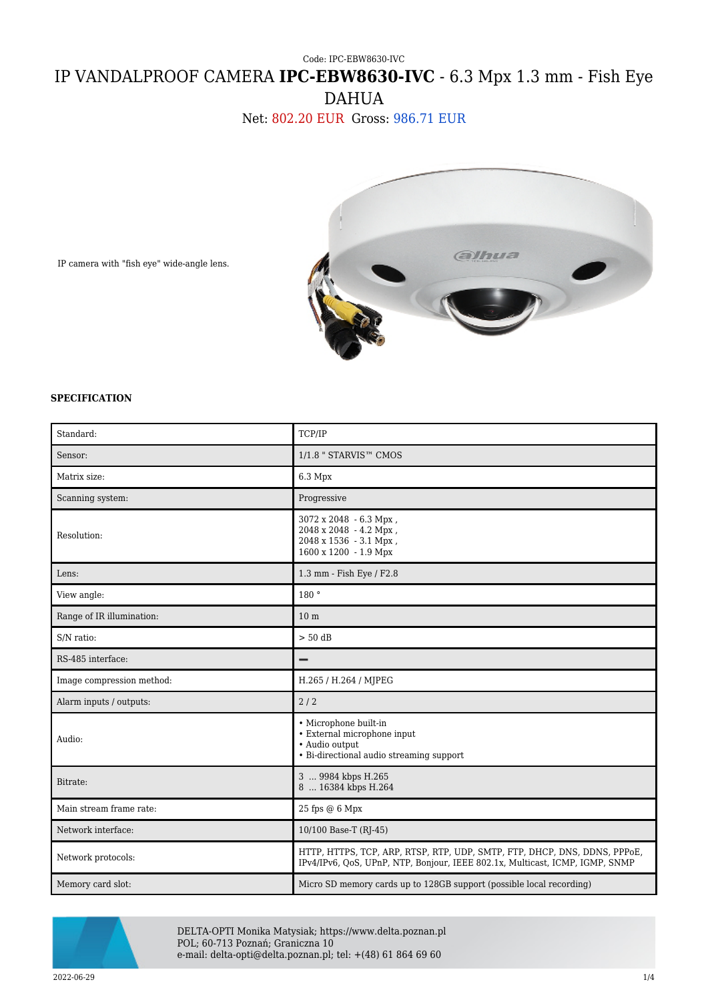## Code: IPC-EBW8630-IVC IP VANDALPROOF CAMERA **IPC-EBW8630-IVC** - 6.3 Mpx 1.3 mm - Fish Eye DAHUA

Net: 802.20 EUR Gross: 986.71 EUR



IP camera with "fish eye" wide-angle lens.

## **SPECIFICATION**

| Standard:                 | TCP/IP                                                                                                                                                    |
|---------------------------|-----------------------------------------------------------------------------------------------------------------------------------------------------------|
| Sensor:                   | 1/1.8 " STARVIS™ CMOS                                                                                                                                     |
| Matrix size:              | 6.3 Mpx                                                                                                                                                   |
| Scanning system:          | Progressive                                                                                                                                               |
| Resolution:               | 3072 x 2048 - 6.3 Mpx,<br>2048 x 2048 - 4.2 Mpx,<br>2048 x 1536 - 3.1 Mpx,<br>1600 x 1200 - 1.9 Mpx                                                       |
| Lens:                     | 1.3 mm - Fish Eye / F2.8                                                                                                                                  |
| View angle:               | 180 °                                                                                                                                                     |
| Range of IR illumination: | 10 <sub>m</sub>                                                                                                                                           |
| S/N ratio:                | $> 50$ dB                                                                                                                                                 |
| RS-485 interface:         | -                                                                                                                                                         |
| Image compression method: | H.265 / H.264 / MJPEG                                                                                                                                     |
| Alarm inputs / outputs:   | 2/2                                                                                                                                                       |
| Audio:                    | • Microphone built-in<br>• External microphone input<br>• Audio output<br>• Bi-directional audio streaming support                                        |
| Bitrate:                  | 3  9984 kbps H.265<br>8  16384 kbps H.264                                                                                                                 |
| Main stream frame rate:   | $25$ fps $@6$ Mpx                                                                                                                                         |
| Network interface:        | 10/100 Base-T (RJ-45)                                                                                                                                     |
| Network protocols:        | HTTP, HTTPS, TCP, ARP, RTSP, RTP, UDP, SMTP, FTP, DHCP, DNS, DDNS, PPPoE,<br>IPv4/IPv6, QoS, UPnP, NTP, Bonjour, IEEE 802.1x, Multicast, ICMP, IGMP, SNMP |
| Memory card slot:         | Micro SD memory cards up to 128GB support (possible local recording)                                                                                      |



DELTA-OPTI Monika Matysiak; https://www.delta.poznan.pl POL; 60-713 Poznań; Graniczna 10 e-mail: delta-opti@delta.poznan.pl; tel: +(48) 61 864 69 60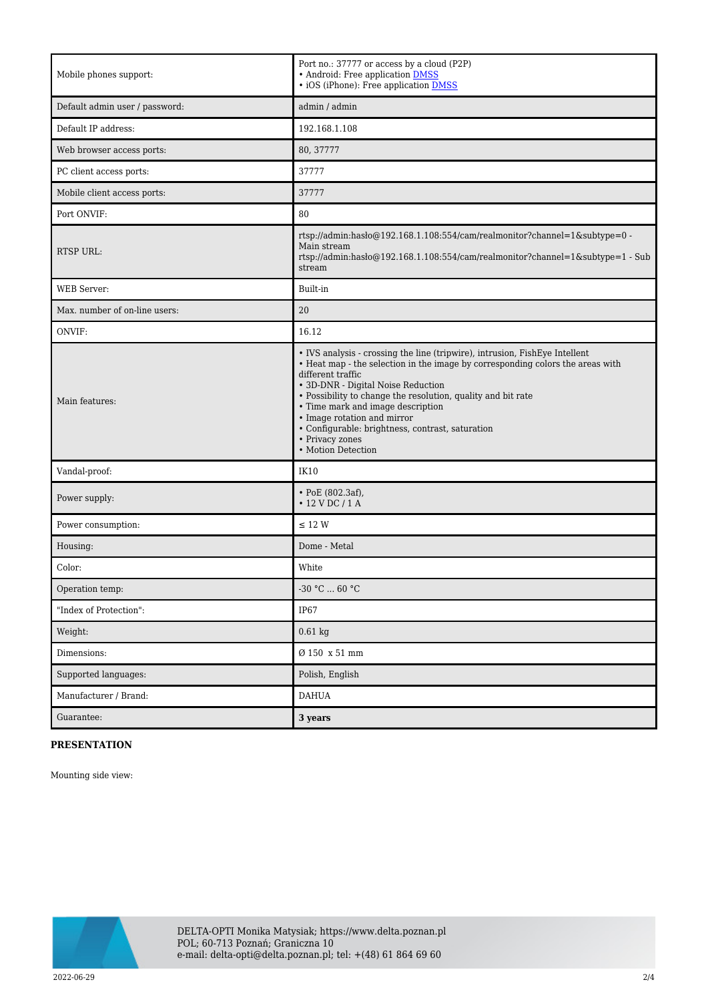| Mobile phones support:         | Port no.: 37777 or access by a cloud (P2P)<br>• Android: Free application DMSS<br>• iOS (iPhone): Free application <b>DMSS</b>                                                                                                                                                                                                                                                                                                                            |
|--------------------------------|-----------------------------------------------------------------------------------------------------------------------------------------------------------------------------------------------------------------------------------------------------------------------------------------------------------------------------------------------------------------------------------------------------------------------------------------------------------|
| Default admin user / password: | admin / admin                                                                                                                                                                                                                                                                                                                                                                                                                                             |
| Default IP address:            | 192.168.1.108                                                                                                                                                                                                                                                                                                                                                                                                                                             |
| Web browser access ports:      | 80, 37777                                                                                                                                                                                                                                                                                                                                                                                                                                                 |
| PC client access ports:        | 37777                                                                                                                                                                                                                                                                                                                                                                                                                                                     |
| Mobile client access ports:    | 37777                                                                                                                                                                                                                                                                                                                                                                                                                                                     |
| Port ONVIF:                    | 80                                                                                                                                                                                                                                                                                                                                                                                                                                                        |
| <b>RTSP URL:</b>               | rtsp://admin:hasło@192.168.1.108:554/cam/realmonitor?channel=1&subtype=0 -<br>Main stream<br>rtsp://admin:hasło@192.168.1.108:554/cam/realmonitor?channel=1&subtype=1 - Sub<br>stream                                                                                                                                                                                                                                                                     |
| <b>WEB</b> Server:             | Built-in                                                                                                                                                                                                                                                                                                                                                                                                                                                  |
| Max. number of on-line users:  | 20                                                                                                                                                                                                                                                                                                                                                                                                                                                        |
| ONVIF:                         | 16.12                                                                                                                                                                                                                                                                                                                                                                                                                                                     |
| Main features:                 | • IVS analysis - crossing the line (tripwire), intrusion, FishEye Intellent<br>• Heat map - the selection in the image by corresponding colors the areas with<br>different traffic<br>• 3D-DNR - Digital Noise Reduction<br>• Possibility to change the resolution, quality and bit rate<br>• Time mark and image description<br>• Image rotation and mirror<br>• Configurable: brightness, contrast, saturation<br>• Privacy zones<br>• Motion Detection |
| Vandal-proof:                  | <b>IK10</b>                                                                                                                                                                                                                                                                                                                                                                                                                                               |
| Power supply:                  | $\cdot$ PoE (802.3af),<br>$\cdot$ 12 V DC / 1 A                                                                                                                                                                                                                                                                                                                                                                                                           |
| Power consumption:             | $\leq$ 12 W                                                                                                                                                                                                                                                                                                                                                                                                                                               |
| Housing:                       | Dome - Metal                                                                                                                                                                                                                                                                                                                                                                                                                                              |
| Color:                         | White                                                                                                                                                                                                                                                                                                                                                                                                                                                     |
| Operation temp:                | -30 °C $\ldots$ 60 °C                                                                                                                                                                                                                                                                                                                                                                                                                                     |
| "Index of Protection":         | <b>IP67</b>                                                                                                                                                                                                                                                                                                                                                                                                                                               |
| Weight:                        | $0.61$ kg                                                                                                                                                                                                                                                                                                                                                                                                                                                 |
| Dimensions:                    | $\emptyset$ 150 x 51 mm                                                                                                                                                                                                                                                                                                                                                                                                                                   |
| Supported languages:           | Polish, English                                                                                                                                                                                                                                                                                                                                                                                                                                           |
| Manufacturer / Brand:          | <b>DAHUA</b>                                                                                                                                                                                                                                                                                                                                                                                                                                              |
| Guarantee:                     | 3 years                                                                                                                                                                                                                                                                                                                                                                                                                                                   |

## **PRESENTATION**

Mounting side view:

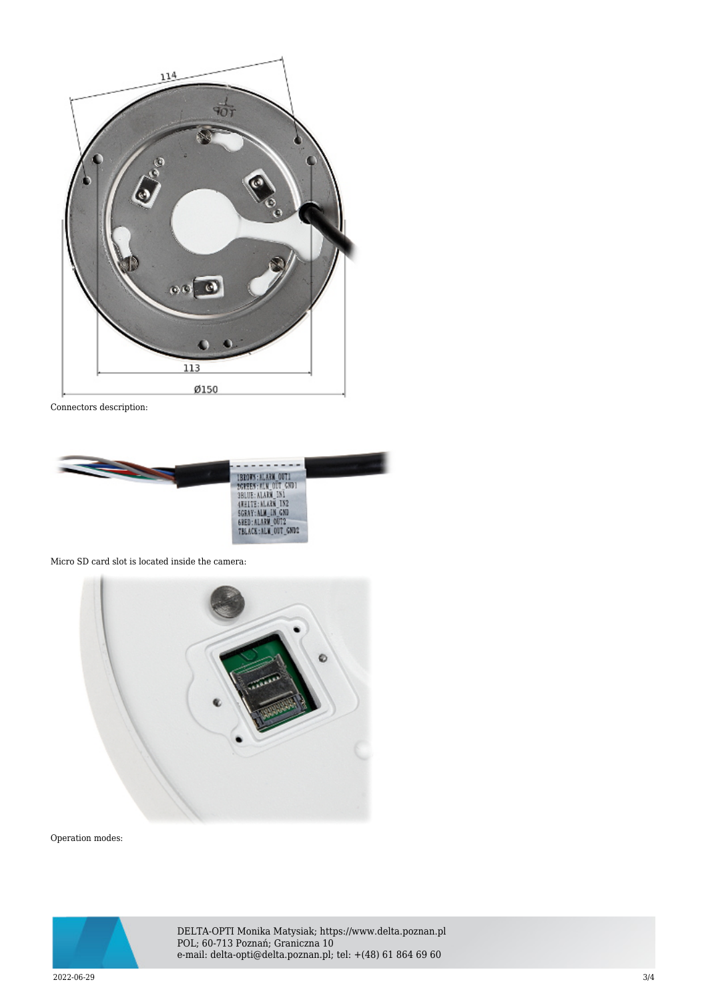

Connectors description:



Micro SD card slot is located inside the camera:



Operation modes:



DELTA-OPTI Monika Matysiak; https://www.delta.poznan.pl POL; 60-713 Poznań; Graniczna 10 e-mail: delta-opti@delta.poznan.pl; tel: +(48) 61 864 69 60

2022-06-29 3/4